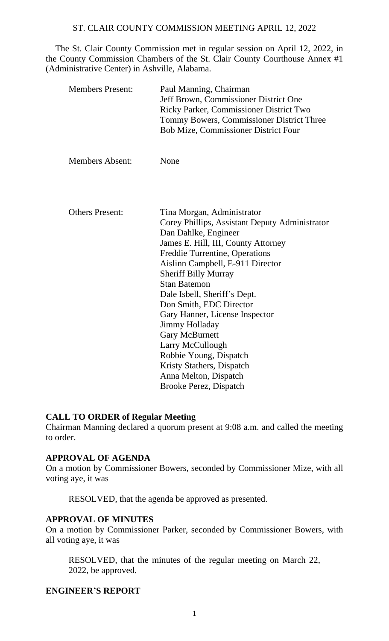The St. Clair County Commission met in regular session on April 12, 2022, in the County Commission Chambers of the St. Clair County Courthouse Annex #1 (Administrative Center) in Ashville, Alabama.

| <b>Members Present:</b> | Paul Manning, Chairman<br>Jeff Brown, Commissioner District One<br>Ricky Parker, Commissioner District Two<br>Tommy Bowers, Commissioner District Three<br><b>Bob Mize, Commissioner District Four</b>                                                                                                                                                                                                                                                                                                                                        |
|-------------------------|-----------------------------------------------------------------------------------------------------------------------------------------------------------------------------------------------------------------------------------------------------------------------------------------------------------------------------------------------------------------------------------------------------------------------------------------------------------------------------------------------------------------------------------------------|
| <b>Members Absent:</b>  | None                                                                                                                                                                                                                                                                                                                                                                                                                                                                                                                                          |
|                         |                                                                                                                                                                                                                                                                                                                                                                                                                                                                                                                                               |
| <b>Others Present:</b>  | Tina Morgan, Administrator<br>Corey Phillips, Assistant Deputy Administrator<br>Dan Dahlke, Engineer<br>James E. Hill, III, County Attorney<br>Freddie Turrentine, Operations<br>Aislinn Campbell, E-911 Director<br><b>Sheriff Billy Murray</b><br><b>Stan Batemon</b><br>Dale Isbell, Sheriff's Dept.<br>Don Smith, EDC Director<br>Gary Hanner, License Inspector<br>Jimmy Holladay<br><b>Gary McBurnett</b><br>Larry McCullough<br>Robbie Young, Dispatch<br>Kristy Stathers, Dispatch<br>Anna Melton, Dispatch<br>Brooke Perez, Dispatch |

#### **CALL TO ORDER of Regular Meeting**

Chairman Manning declared a quorum present at 9:08 a.m. and called the meeting to order.

#### **APPROVAL OF AGENDA**

On a motion by Commissioner Bowers, seconded by Commissioner Mize, with all voting aye, it was

RESOLVED, that the agenda be approved as presented.

## **APPROVAL OF MINUTES**

On a motion by Commissioner Parker, seconded by Commissioner Bowers, with all voting aye, it was

RESOLVED, that the minutes of the regular meeting on March 22, 2022, be approved.

## **ENGINEER'S REPORT**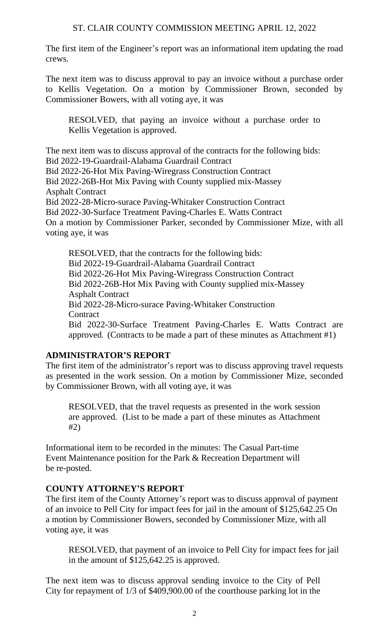The first item of the Engineer's report was an informational item updating the road crews.

The next item was to discuss approval to pay an invoice without a purchase order to Kellis Vegetation. On a motion by Commissioner Brown, seconded by Commissioner Bowers, with all voting aye, it was

RESOLVED, that paying an invoice without a purchase order to Kellis Vegetation is approved.

The next item was to discuss approval of the contracts for the following bids: Bid 2022-19-Guardrail-Alabama Guardrail Contract Bid 2022-26-Hot Mix Paving-Wiregrass Construction Contract Bid 2022-26B-Hot Mix Paving with County supplied mix-Massey Asphalt Contract Bid 2022-28-Micro-surace Paving-Whitaker Construction Contract Bid 2022-30-Surface Treatment Paving-Charles E. Watts Contract On a motion by Commissioner Parker, seconded by Commissioner Mize, with all voting aye, it was

RESOLVED, that the contracts for the following bids: Bid 2022-19-Guardrail-Alabama Guardrail Contract Bid 2022-26-Hot Mix Paving-Wiregrass Construction Contract Bid 2022-26B-Hot Mix Paving with County supplied mix-Massey Asphalt Contract Bid 2022-28-Micro-surace Paving-Whitaker Construction **Contract** Bid 2022-30-Surface Treatment Paving-Charles E. Watts Contract are approved. (Contracts to be made a part of these minutes as Attachment #1)

# **ADMINISTRATOR'S REPORT**

The first item of the administrator's report was to discuss approving travel requests as presented in the work session. On a motion by Commissioner Mize, seconded by Commissioner Brown, with all voting aye, it was

RESOLVED, that the travel requests as presented in the work session are approved. (List to be made a part of these minutes as Attachment #2)

Informational item to be recorded in the minutes: The Casual Part-time Event Maintenance position for the Park & Recreation Department will be re-posted.

# **COUNTY ATTORNEY'S REPORT**

The first item of the County Attorney's report was to discuss approval of payment of an invoice to Pell City for impact fees for jail in the amount of \$125,642.25 On a motion by Commissioner Bowers, seconded by Commissioner Mize, with all voting aye, it was

RESOLVED, that payment of an invoice to Pell City for impact fees for jail in the amount of \$125,642.25 is approved.

The next item was to discuss approval sending invoice to the City of Pell City for repayment of 1/3 of \$409,900.00 of the courthouse parking lot in the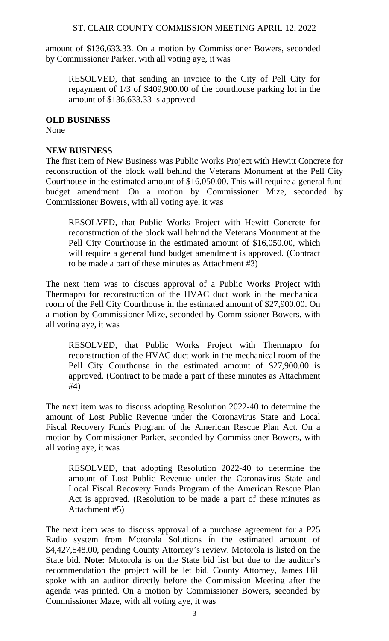amount of \$136,633.33. On a motion by Commissioner Bowers, seconded by Commissioner Parker, with all voting aye, it was

RESOLVED, that sending an invoice to the City of Pell City for repayment of 1/3 of \$409,900.00 of the courthouse parking lot in the amount of \$136,633.33 is approved.

#### **OLD BUSINESS**

None

## **NEW BUSINESS**

The first item of New Business was Public Works Project with Hewitt Concrete for reconstruction of the block wall behind the Veterans Monument at the Pell City Courthouse in the estimated amount of \$16,050.00. This will require a general fund budget amendment. On a motion by Commissioner Mize, seconded by Commissioner Bowers, with all voting aye, it was

RESOLVED, that Public Works Project with Hewitt Concrete for reconstruction of the block wall behind the Veterans Monument at the Pell City Courthouse in the estimated amount of \$16,050.00, which will require a general fund budget amendment is approved. (Contract to be made a part of these minutes as Attachment #3)

The next item was to discuss approval of a Public Works Project with Thermapro for reconstruction of the HVAC duct work in the mechanical room of the Pell City Courthouse in the estimated amount of \$27,900.00. On a motion by Commissioner Mize, seconded by Commissioner Bowers, with all voting aye, it was

RESOLVED, that Public Works Project with Thermapro for reconstruction of the HVAC duct work in the mechanical room of the Pell City Courthouse in the estimated amount of \$27,900.00 is approved. (Contract to be made a part of these minutes as Attachment #4)

The next item was to discuss adopting Resolution 2022-40 to determine the amount of Lost Public Revenue under the Coronavirus State and Local Fiscal Recovery Funds Program of the American Rescue Plan Act. On a motion by Commissioner Parker, seconded by Commissioner Bowers, with all voting aye, it was

RESOLVED, that adopting Resolution 2022-40 to determine the amount of Lost Public Revenue under the Coronavirus State and Local Fiscal Recovery Funds Program of the American Rescue Plan Act is approved. (Resolution to be made a part of these minutes as Attachment #5)

The next item was to discuss approval of a purchase agreement for a P25 Radio system from Motorola Solutions in the estimated amount of \$4,427,548.00, pending County Attorney's review. Motorola is listed on the State bid. **Note:** Motorola is on the State bid list but due to the auditor's recommendation the project will be let bid. County Attorney, James Hill spoke with an auditor directly before the Commission Meeting after the agenda was printed. On a motion by Commissioner Bowers, seconded by Commissioner Maze, with all voting aye, it was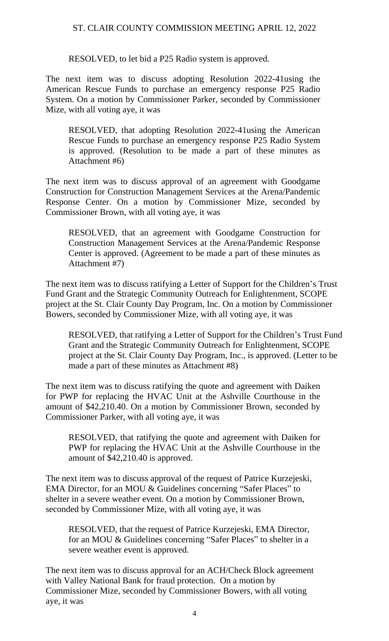RESOLVED, to let bid a P25 Radio system is approved.

The next item was to discuss adopting Resolution 2022-41using the American Rescue Funds to purchase an emergency response P25 Radio System. On a motion by Commissioner Parker, seconded by Commissioner Mize, with all voting aye, it was

RESOLVED, that adopting Resolution 2022-41using the American Rescue Funds to purchase an emergency response P25 Radio System is approved. (Resolution to be made a part of these minutes as Attachment #6)

The next item was to discuss approval of an agreement with Goodgame Construction for Construction Management Services at the Arena/Pandemic Response Center. On a motion by Commissioner Mize, seconded by Commissioner Brown, with all voting aye, it was

RESOLVED, that an agreement with Goodgame Construction for Construction Management Services at the Arena/Pandemic Response Center is approved. (Agreement to be made a part of these minutes as Attachment #7)

The next item was to discuss ratifying a Letter of Support for the Children's Trust Fund Grant and the Strategic Community Outreach for Enlightenment, SCOPE project at the St. Clair County Day Program, Inc. On a motion by Commissioner Bowers, seconded by Commissioner Mize, with all voting aye, it was

RESOLVED, that ratifying a Letter of Support for the Children's Trust Fund Grant and the Strategic Community Outreach for Enlightenment, SCOPE project at the St. Clair County Day Program, Inc., is approved. (Letter to be made a part of these minutes as Attachment #8)

The next item was to discuss ratifying the quote and agreement with Daiken for PWP for replacing the HVAC Unit at the Ashville Courthouse in the amount of \$42,210.40. On a motion by Commissioner Brown, seconded by Commissioner Parker, with all voting aye, it was

RESOLVED, that ratifying the quote and agreement with Daiken for PWP for replacing the HVAC Unit at the Ashville Courthouse in the amount of \$42,210.40 is approved.

The next item was to discuss approval of the request of Patrice Kurzejeski, EMA Director, for an MOU & Guidelines concerning "Safer Places" to shelter in a severe weather event. On a motion by Commissioner Brown, seconded by Commissioner Mize, with all voting aye, it was

RESOLVED, that the request of Patrice Kurzejeski, EMA Director, for an MOU & Guidelines concerning "Safer Places" to shelter in a severe weather event is approved.

The next item was to discuss approval for an ACH/Check Block agreement with Valley National Bank for fraud protection. On a motion by Commissioner Mize, seconded by Commissioner Bowers, with all voting aye, it was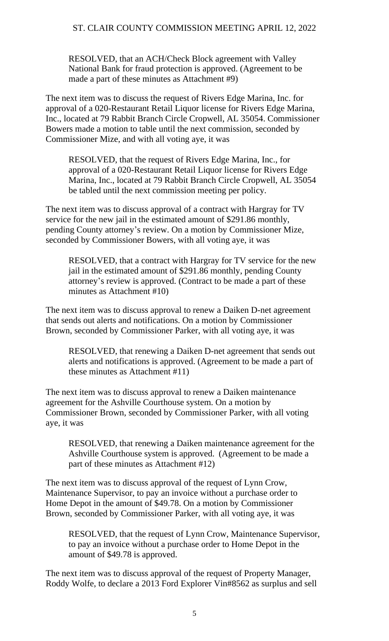RESOLVED, that an ACH/Check Block agreement with Valley National Bank for fraud protection is approved. (Agreement to be made a part of these minutes as Attachment #9)

The next item was to discuss the request of Rivers Edge Marina, Inc. for approval of a 020-Restaurant Retail Liquor license for Rivers Edge Marina, Inc., located at 79 Rabbit Branch Circle Cropwell, AL 35054. Commissioner Bowers made a motion to table until the next commission, seconded by Commissioner Mize, and with all voting aye, it was

RESOLVED, that the request of Rivers Edge Marina, Inc., for approval of a 020-Restaurant Retail Liquor license for Rivers Edge Marina, Inc., located at 79 Rabbit Branch Circle Cropwell, AL 35054 be tabled until the next commission meeting per policy.

The next item was to discuss approval of a contract with Hargray for TV service for the new jail in the estimated amount of \$291.86 monthly, pending County attorney's review. On a motion by Commissioner Mize, seconded by Commissioner Bowers, with all voting aye, it was

RESOLVED, that a contract with Hargray for TV service for the new jail in the estimated amount of \$291.86 monthly, pending County attorney's review is approved. (Contract to be made a part of these minutes as Attachment #10)

The next item was to discuss approval to renew a Daiken D-net agreement that sends out alerts and notifications. On a motion by Commissioner Brown, seconded by Commissioner Parker, with all voting aye, it was

RESOLVED, that renewing a Daiken D-net agreement that sends out alerts and notifications is approved. (Agreement to be made a part of these minutes as Attachment #11)

The next item was to discuss approval to renew a Daiken maintenance agreement for the Ashville Courthouse system. On a motion by Commissioner Brown, seconded by Commissioner Parker, with all voting aye, it was

RESOLVED, that renewing a Daiken maintenance agreement for the Ashville Courthouse system is approved. (Agreement to be made a part of these minutes as Attachment #12)

The next item was to discuss approval of the request of Lynn Crow, Maintenance Supervisor, to pay an invoice without a purchase order to Home Depot in the amount of \$49.78. On a motion by Commissioner Brown, seconded by Commissioner Parker, with all voting aye, it was

RESOLVED, that the request of Lynn Crow, Maintenance Supervisor, to pay an invoice without a purchase order to Home Depot in the amount of \$49.78 is approved.

The next item was to discuss approval of the request of Property Manager, Roddy Wolfe, to declare a 2013 Ford Explorer Vin#8562 as surplus and sell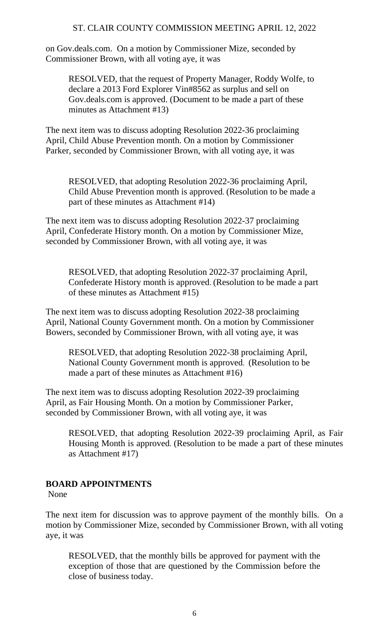on Gov.deals.com. On a motion by Commissioner Mize, seconded by Commissioner Brown, with all voting aye, it was

RESOLVED, that the request of Property Manager, Roddy Wolfe, to declare a 2013 Ford Explorer Vin#8562 as surplus and sell on Gov.deals.com is approved. (Document to be made a part of these minutes as Attachment #13)

The next item was to discuss adopting Resolution 2022-36 proclaiming April, Child Abuse Prevention month. On a motion by Commissioner Parker, seconded by Commissioner Brown, with all voting aye, it was

RESOLVED, that adopting Resolution 2022-36 proclaiming April, Child Abuse Prevention month is approved. (Resolution to be made a part of these minutes as Attachment #14)

The next item was to discuss adopting Resolution 2022-37 proclaiming April, Confederate History month. On a motion by Commissioner Mize, seconded by Commissioner Brown, with all voting aye, it was

RESOLVED, that adopting Resolution 2022-37 proclaiming April, Confederate History month is approved. (Resolution to be made a part of these minutes as Attachment #15)

The next item was to discuss adopting Resolution 2022-38 proclaiming April, National County Government month. On a motion by Commissioner Bowers, seconded by Commissioner Brown, with all voting aye, it was

RESOLVED, that adopting Resolution 2022-38 proclaiming April, National County Government month is approved. (Resolution to be made a part of these minutes as Attachment #16)

The next item was to discuss adopting Resolution 2022-39 proclaiming April, as Fair Housing Month. On a motion by Commissioner Parker, seconded by Commissioner Brown, with all voting aye, it was

RESOLVED, that adopting Resolution 2022-39 proclaiming April, as Fair Housing Month is approved. (Resolution to be made a part of these minutes as Attachment #17)

## **BOARD APPOINTMENTS**

None

The next item for discussion was to approve payment of the monthly bills. On a motion by Commissioner Mize, seconded by Commissioner Brown, with all voting aye, it was

RESOLVED, that the monthly bills be approved for payment with the exception of those that are questioned by the Commission before the close of business today.